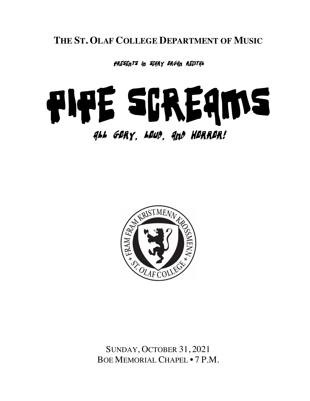**THE ST. OLAF COLLEGE DEPARTMENT OF MUSIC**

presents in scary organ recital

# Pipe Screams

# All Gory, loud, and horror!



SUNDAY, OCTOBER 31, 2021 BOE MEMORIAL CHAPEL • 7 P.M.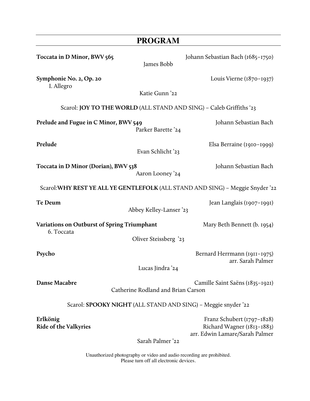|                                                           | <b>PROGRAM</b>                                                             |                                                                                                |
|-----------------------------------------------------------|----------------------------------------------------------------------------|------------------------------------------------------------------------------------------------|
| Toccata in D Minor, BWV 565                               | James Bobb                                                                 | Johann Sebastian Bach (1685-1750)                                                              |
| Symphonie No. 2, Op. 20<br>I. Allegro                     |                                                                            | Louis Vierne (1870-1937)                                                                       |
|                                                           | Katie Gunn '22                                                             |                                                                                                |
|                                                           | Scarol: <b>JOY TO THE WORLD</b> (ALL STAND AND SING) - Caleb Griffiths '23 |                                                                                                |
| Prelude and Fugue in C Minor, BWV 549                     | Parker Barette '24                                                         | Johann Sebastian Bach                                                                          |
| Prelude                                                   | Evan Schlicht '23                                                          | Elsa Berraine (1910-1999)                                                                      |
| Toccata in D Minor (Dorian), BWV 538                      | Aaron Looney '24                                                           | Johann Sebastian Bach                                                                          |
|                                                           |                                                                            | Scarol: WHY REST YE ALL YE GENTLEFOLK (ALL STAND AND SING) - Meggie Snyder '22                 |
| Te Deum                                                   | Abbey Kelley-Lanser '23                                                    | Jean Langlais (1907–1991)                                                                      |
| Variations on Outburst of Spring Triumphant<br>6. Toccata |                                                                            | Mary Beth Bennett (b. 1954)                                                                    |
|                                                           | Oliver Steissberg '23                                                      |                                                                                                |
| Psycho                                                    |                                                                            | Bernard Herrmann (1911-1975)<br>arr. Sarah Palmer                                              |
|                                                           | Lucas Jindra '24                                                           |                                                                                                |
| Danse Macabre                                             | Catherine Rodland and Brian Carson                                         | Camille Saint Saëns (1835-1921)                                                                |
|                                                           | Scarol: <b>SPOOKY NIGHT</b> (ALL STAND AND SING) – Meggie snyder '22       |                                                                                                |
| Erlkönig<br><b>Ride of the Valkyries</b>                  | Sarah Palmer '22                                                           | Franz Schubert $(1797 - 1828)$<br>Richard Wagner (1813-1883)<br>arr. Edwin Lamare/Sarah Palmer |
|                                                           | Unauthorized photography or video and audio recording are prohibited.      |                                                                                                |

Please turn off all electronic devices.